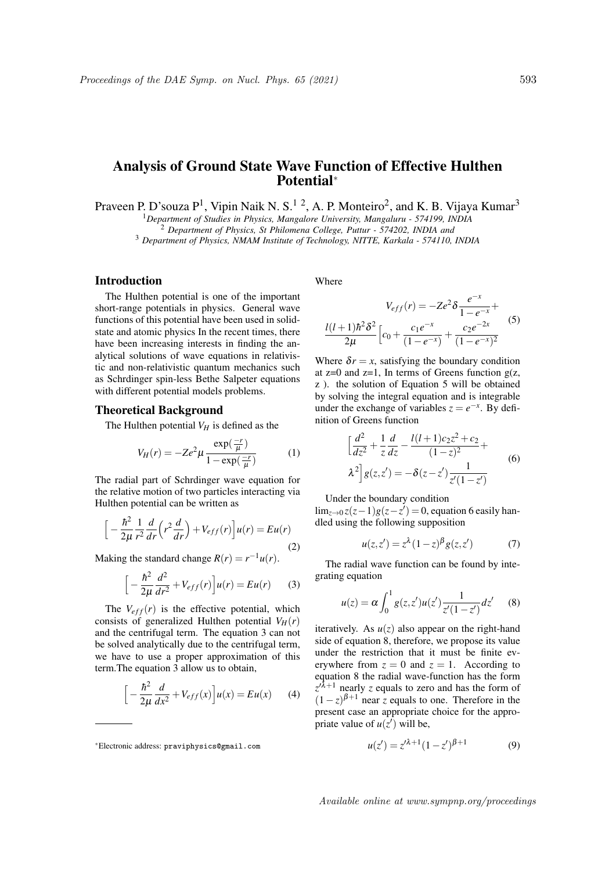# Analysis of Ground State Wave Function of Effective Hulthen Potential<sup>∗</sup>

Praveen P. D'souza  $P^1$ , Vipin Naik N. S.<sup>12</sup>, A. P. Monteiro<sup>2</sup>, and K. B. Vijaya Kumar<sup>3</sup>

<sup>1</sup>*Department of Studies in Physics, Mangalore University, Mangaluru - 574199, INDIA*

<sup>2</sup> *Department of Physics, St Philomena College, Puttur - 574202, INDIA and*

<sup>3</sup> *Department of Physics, NMAM Institute of Technology, NITTE, Karkala - 574110, INDIA*

## Introduction

The Hulthen potential is one of the important short-range potentials in physics. General wave functions of this potential have been used in solidstate and atomic physics In the recent times, there have been increasing interests in finding the analytical solutions of wave equations in relativistic and non-relativistic quantum mechanics such as Schrdinger spin-less Bethe Salpeter equations with different potential models problems.

### Theoretical Background

The Hulthen potential  $V_H$  is defined as the

$$
V_H(r) = -Ze^2 \mu \frac{\exp(\frac{-r}{\mu})}{1 - \exp(\frac{-r}{\mu})}
$$
 (1)

The radial part of Schrdinger wave equation for the relative motion of two particles interacting via Hulthen potential can be written as

$$
\left[-\frac{\hbar^2}{2\mu}\frac{1}{r^2}\frac{d}{dr}\left(r^2\frac{d}{dr}\right)+V_{eff}(r)\right]u(r)=Eu(r)\tag{2}
$$

Making the standard change  $R(r) = r^{-1}u(r)$ .

$$
\left[-\frac{\hbar^2}{2\mu}\frac{d^2}{dr^2} + V_{eff}(r)\right]u(r) = Eu(r) \qquad (3)
$$

The  $V_{eff}(r)$  is the effective potential, which consists of generalized Hulthen potential  $V_H(r)$ and the centrifugal term. The equation 3 can not be solved analytically due to the centrifugal term, we have to use a proper approximation of this term.The equation 3 allow us to obtain,

$$
\[ -\frac{\hbar^2}{2\mu} \frac{d}{dx^2} + V_{eff}(x) \] u(x) = Eu(x) \tag{4}
$$

Where

$$
V_{eff}(r) = -Ze^{2} \delta \frac{e^{-x}}{1 - e^{-x}} + \frac{l(l+1)\hbar^{2} \delta^{2}}{2\mu} \left[c_{0} + \frac{c_{1}e^{-x}}{(1 - e^{-x})} + \frac{c_{2}e^{-2x}}{(1 - e^{-x})^{2}}\right]
$$
(5)

Where  $\delta r = x$ , satisfying the boundary condition at  $z=0$  and  $z=1$ , In terms of Greens function  $g(z, z)$ z ). the solution of Equation 5 will be obtained by solving the integral equation and is integrable under the exchange of variables  $z = e^{-x}$ . By definition of Greens function

$$
\left[\frac{d^2}{dz^2} + \frac{1}{z}\frac{d}{dz} - \frac{l(l+1)c_2z^2 + c_2}{(1-z)^2} + \lambda^2\right]g(z, z') = -\delta(z - z')\frac{1}{z'(1-z')}
$$
(6)

Under the boundary condition

 $\lim_{z\to 0} z(z-1)g(z-z') = 0$ , equation 6 easily handled using the following supposition

$$
u(z, z') = z^{\lambda} (1 - z)^{\beta} g(z, z')
$$
 (7)

The radial wave function can be found by integrating equation

$$
u(z) = \alpha \int_0^1 g(z, z') u(z') \frac{1}{z'(1 - z')} dz' \qquad (8)
$$

iteratively. As  $u(z)$  also appear on the right-hand side of equation 8, therefore, we propose its value under the restriction that it must be finite everywhere from  $z = 0$  and  $z = 1$ . According to equation 8 the radial wave-function has the form  $z^{(\lambda+1)}$  nearly *z* equals to zero and has the form of  $(1-z)^{\beta+1}$  near *z* equals to one. Therefore in the present case an appropriate choice for the appropriate value of  $u(z')$  will be,

$$
u(z') = z'^{\lambda+1} (1 - z')^{\beta+1}
$$
 (9)

<sup>∗</sup>Electronic address: praviphysics@gmail.com